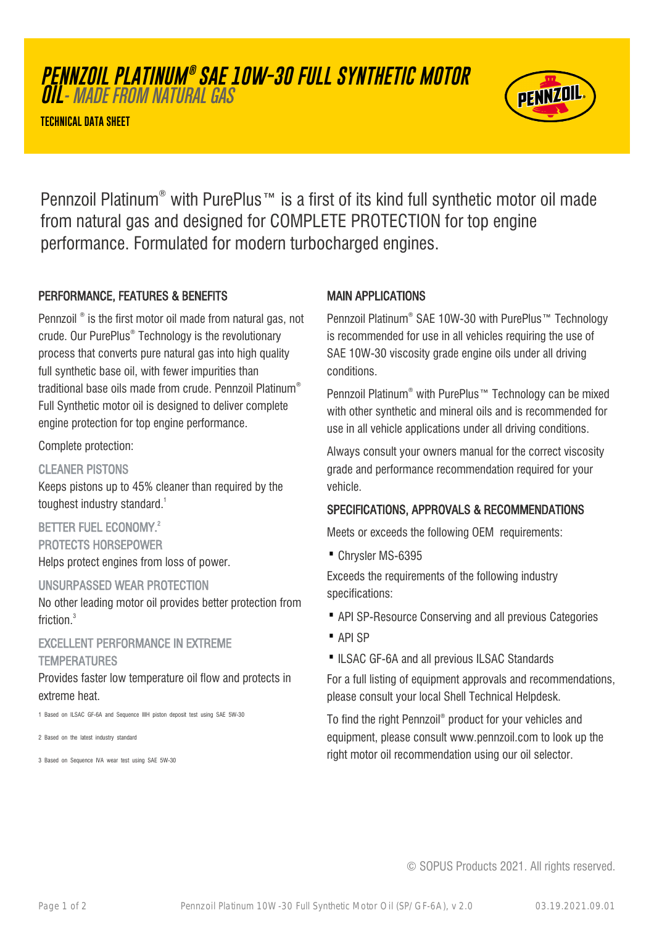# **PENNZOIL PLATINUM ® SAE 10W-30 FULL SYNTHETIC MOTOR**

**OIL**- MADE FROM NATURAL GAS

**TECHNICAL DATA SHEET**



Pennzoil Platinum® with PurePlus™ is a first of its kind full synthetic motor oil made from natural gas and designed for COMPLETE PROTECTION for top engine performance. Formulated for modern turbocharged engines.

#### PERFORMANCE, FEATURES & BENEFITS

Pennzoil ® is the first motor oil made from natural gas, not crude. Our PurePlus® Technology is the revolutionary process that converts pure natural gas into high quality full synthetic base oil, with fewer impurities than traditional base oils made from crude. Pennzoil Platinum® Full Synthetic motor oil is designed to deliver complete engine protection for top engine performance.

Complete protection:

CLEANER PISTONS

Keeps pistons up to 45% cleaner than required by the toughest industry standard.<sup>1</sup>

BETTER FUEL ECONOMY.<sup>2</sup> PROTECTS HORSEPOWER Helps protect engines from loss of power.

#### UNSURPASSED WEAR PROTECTION

No other leading motor oil provides better protection from friction.<sup>3</sup>

### EXCELLENT PERFORMANCE IN EXTREME TEMPERATURES

Provides faster low temperature oil flow and protects in extreme heat.

1 Based on ILSAC GF-6A and Sequence IIIH piston deposit test using SAE 5W-30

2 Based on the latest industry standard

3 Based on Sequence IVA wear test using SAE 5W-30

### MAIN APPLICATIONS

Pennzoil Platinum® SAE 10W-30 with PurePlus™ Technology is recommended for use in all vehicles requiring the use of SAE 10W-30 viscosity grade engine oils under all driving conditions.

Pennzoil Platinum® with PurePlus™ Technology can be mixed with other synthetic and mineral oils and is recommended for use in all vehicle applications under all driving conditions.

Always consult your owners manual for the correct viscosity grade and performance recommendation required for your vehicle.

# SPECIFICATIONS, APPROVALS & RECOMMENDATIONS

Meets or exceeds the following OEM requirements:

· Chrysler MS-6395

Exceeds the requirements of the following industry specifications:

- · API SP-Resource Conserving and all previous Categories
- · API SP
- ·ILSAC GF-6A and all previous ILSAC Standards

For a full listing of equipment approvals and recommendations, please consult your local Shell Technical Helpdesk.

To find the right Pennzoil® product for your vehicles and equipment, please consult www.pennzoil.com to look up the right motor oil recommendation using our oil selector.

© SOPUS Products 2021. All rights reserved.